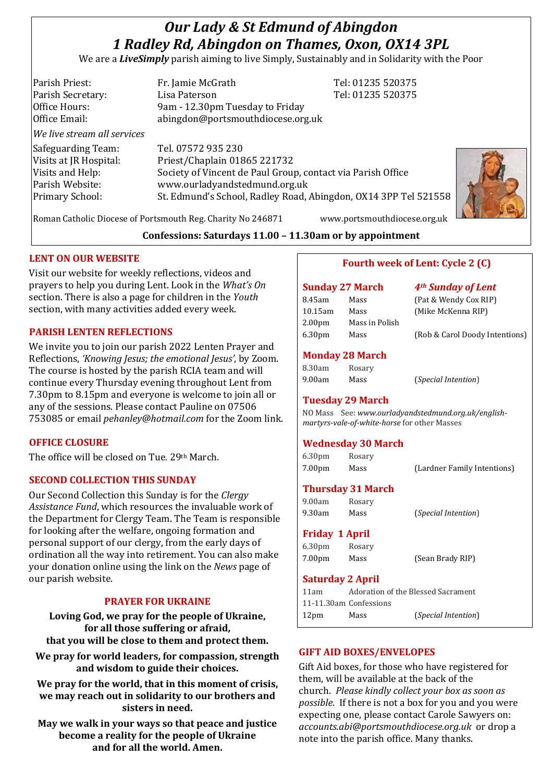# *Our Lady & St Edmund of Abingdon 1 Radley Rd, Abingdon on Thames, Oxon, OX14 3PL*

We are a *LiveSimply* parish aiming to live Simply, Sustainably and in Solidarity with the Poor

| Parish Priest:              | Fr. Jamie McGrath                                               | Tel: 01235 520375 |
|-----------------------------|-----------------------------------------------------------------|-------------------|
| Parish Secretary:           | Lisa Paterson                                                   | Tel: 01235 520375 |
| Office Hours:               | 9am - 12.30pm Tuesday to Friday                                 |                   |
| Office Email:               | abingdon@portsmouthdiocese.org.uk                               |                   |
| We live stream all services |                                                                 |                   |
| Safeguarding Team:          | Tel. 07572 935 230                                              |                   |
| Visits at JR Hospital:      | Priest/Chaplain 01865 221732                                    |                   |
| Visits and Help:            | Society of Vincent de Paul Group, contact via Parish Office     |                   |
| Parish Website:             | www.ourladyandstedmund.org.uk                                   |                   |
| Primary School:             | St. Edmund's School, Radley Road, Abingdon, OX14 3PP Tel 521558 |                   |
|                             |                                                                 |                   |



**Confessions: Saturdays 11.00 – 11.30am or by appointment**

#### **LENT ON OUR WEBSITE**

Visit our website for weekly reflections, videos and prayers to help you during Lent. Look in the *What's On* section. There is also a page for children in the *Youth* section, with many activities added every week.

#### **PARISH LENTEN REFLECTIONS**

We invite you to join our parish 2022 Lenten Prayer and Reflections, *'Knowing Jesus; the emotional Jesus'*, by Zoom. The course is hosted by the parish RCIA team and will continue every Thursday evening throughout Lent from 7.30pm to 8.15pm and everyone is welcome to join all or any of the sessions. Please contact Pauline on 07506 753085 or email *pehanley@hotmail.com* for the Zoom link.

### **OFFICE CLOSURE**

The office will be closed on Tue. 29th March.

### **SECOND COLLECTION THIS SUNDAY**

Our Second Collection this Sunday is for the *Clergy Assistance Fund*, which resources the invaluable work of the Department for Clergy Team. The Team is responsible for looking after the welfare, ongoing formation and personal support of our clergy, from the early days of ordination all the way into retirement. You can also make your donation online using the link on the *News* page of our parish website.

### **PRAYER FOR UKRAINE**

**Loving God, we pray for the people of Ukraine, for all those suffering or afraid,**

**that you will be close to them and protect them.**

**We pray for world leaders, for compassion, strength and wisdom to guide their choices.**

**We pray for the world, that in this moment of crisis, we may reach out in solidarity to our brothers and sisters in need.**

**May we walk in your ways so that peace and justice become a reality for the people of Ukraine and for all the world. Amen.**

Roman Catholic Diocese of Portsmouth Reg. Charity No 246871 www.portsmouthdiocese.org.uk

## **Fourth week of Lent: Cycle 2 (C)**

## **Sunday 27 March** *4th Sunday of Lent* 8.45am Mass (Pat & Wendy Cox RIP) 10.15am Mass (Mike McKenna RIP) 2.00pm Mass in Polish

6.30pm Mass (Rob & Carol Doody Intentions)

#### **Monday 28 March**

8.30am Rosary

9.00am Mass (*Special Intention*)

#### **Tuesday 29 March**

NO Mass See: *www.ourladyandstedmund.org.uk/englishmartyrs-vale-of-white-horse* for other Masses

#### **Wednesday 30 March**

6.30pm Rosary

7.00pm Mass (Lardner Family Intentions)

#### **Thursday 31 March**

9.00am Rosary 9.30am Mass (*Special Intention*)

#### **Friday 1 April**

6.30pm Rosary 7.00pm Mass (Sean Brady RIP)

#### **Saturday 2 April**

11am Adoration of the Blessed Sacrament 11-11.30am Confessions 12pm Mass (*Special Intention*)

### **GIFT AID BOXES/ENVELOPES**

Gift Aid boxes, for those who have registered for them, will be available at the back of the church. *Please kindly collect your box as soon as possible*. If there is not a box for you and you were expecting one, please contact Carole Sawyers on: *accounts.abi@portsmouthdiocese.org.uk* or drop a note into the parish office. Many thanks.